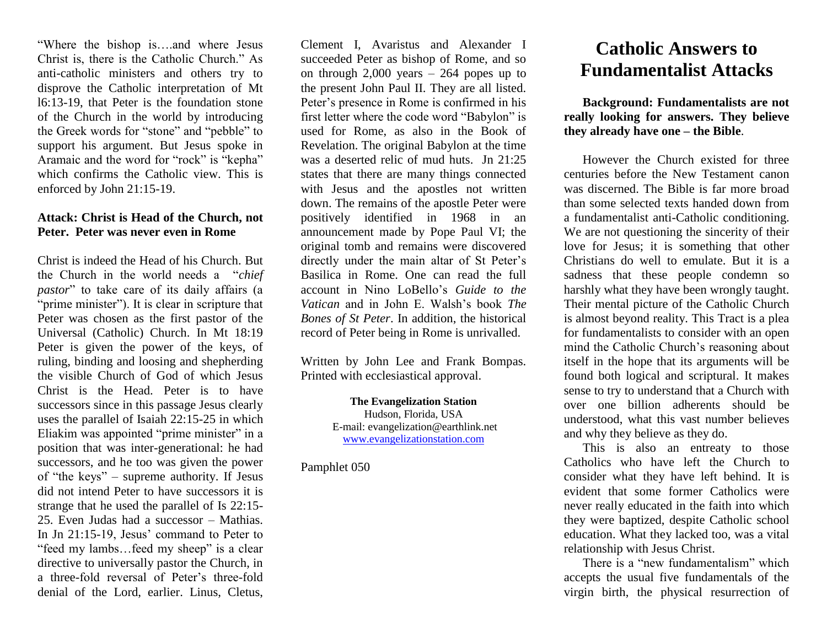"Where the bishop is….and where Jesus Christ is, there is the Catholic Church." As anti-catholic ministers and others try to disprove the Catholic interpretation of Mt l6:13-19, that Peter is the foundation stone of the Church in the world by introducing the Greek words for "stone" and "pebble" to support his argument. But Jesus spoke in Aramaic and the word for "rock" is "kepha" which confirms the Catholic view. This is enforced by John 21:15-19.

#### **Attack: Christ is Head of the Church, not Peter. Peter was never even in Rome**

Christ is indeed the Head of his Church. But the Church in the world needs a "*chief pastor*" to take care of its daily affairs (a "prime minister"). It is clear in scripture that Peter was chosen as the first pastor of the Universal (Catholic) Church. In Mt 18:19 Peter is given the power of the keys, of ruling, binding and loosing and shepherding the visible Church of God of which Jesus Christ is the Head. Peter is to have successors since in this passage Jesus clearly uses the parallel of Isaiah 22:15-25 in which Eliakim was appointed "prime minister" in a position that was inter-generational: he had successors, and he too was given the power of "the keys" – supreme authority. If Jesus did not intend Peter to have successors it is strange that he used the parallel of Is 22:15- 25. Even Judas had a successor – Mathias. In Jn 21:15-19, Jesus' command to Peter to "feed my lambs…feed my sheep" is a clear directive to universally pastor the Church, in a three-fold reversal of Peter's three-fold denial of the Lord, earlier. Linus, Cletus,

Clement I, Avaristus and Alexander I succeeded Peter as bishop of Rome, and so on through 2,000 years – 264 popes up to the present John Paul II. They are all listed. Peter's presence in Rome is confirmed in his first letter where the code word "Babylon" is used for Rome, as also in the Book of Revelation. The original Babylon at the time was a deserted relic of mud huts. Jn 21:25 states that there are many things connected with Jesus and the apostles not written down. The remains of the apostle Peter were positively identified in 1968 in an announcement made by Pope Paul VI; the original tomb and remains were discovered directly under the main altar of St Peter's Basilica in Rome. One can read the full account in Nino LoBello's *Guide to the Vatican* and in John E. Walsh's book *The Bones of St Peter*. In addition, the historical record of Peter being in Rome is unrivalled.

Written by John Lee and Frank Bompas. Printed with ecclesiastical approval.

> **The Evangelization Station** Hudson, Florida, USA E-mail: evangelization@earthlink.net [www.evangelizationstation.com](http://www.pjpiisoe.org/)

Pamphlet 050

# **Catholic Answers to Fundamentalist Attacks**

**Background: Fundamentalists are not really looking for answers. They believe they already have one – the Bible**.

However the Church existed for three centuries before the New Testament canon was discerned. The Bible is far more broad than some selected texts handed down from a fundamentalist anti-Catholic conditioning. We are not questioning the sincerity of their love for Jesus; it is something that other Christians do well to emulate. But it is a sadness that these people condemn so harshly what they have been wrongly taught. Their mental picture of the Catholic Church is almost beyond reality. This Tract is a plea for fundamentalists to consider with an open mind the Catholic Church's reasoning about itself in the hope that its arguments will be found both logical and scriptural. It makes sense to try to understand that a Church with over one billion adherents should be understood, what this vast number believes and why they believe as they do.

This is also an entreaty to those Catholics who have left the Church to consider what they have left behind. It is evident that some former Catholics were never really educated in the faith into which they were baptized, despite Catholic school education. What they lacked too, was a vital relationship with Jesus Christ.

There is a "new fundamentalism" which accepts the usual five fundamentals of the virgin birth, the physical resurrection of